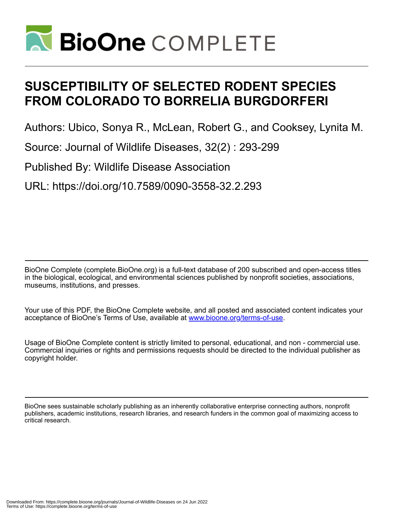

# **SUSCEPTIBILITY OF SELECTED RODENT SPECIES FROM COLORADO TO BORRELIA BURGDORFERI**

Authors: Ubico, Sonya R., McLean, Robert G., and Cooksey, Lynita M.

Source: Journal of Wildlife Diseases, 32(2) : 293-299

Published By: Wildlife Disease Association

URL: https://doi.org/10.7589/0090-3558-32.2.293

BioOne Complete (complete.BioOne.org) is a full-text database of 200 subscribed and open-access titles in the biological, ecological, and environmental sciences published by nonprofit societies, associations, museums, institutions, and presses.

Your use of this PDF, the BioOne Complete website, and all posted and associated content indicates your acceptance of BioOne's Terms of Use, available at www.bioone.org/terms-of-use.

Usage of BioOne Complete content is strictly limited to personal, educational, and non - commercial use. Commercial inquiries or rights and permissions requests should be directed to the individual publisher as copyright holder.

BioOne sees sustainable scholarly publishing as an inherently collaborative enterprise connecting authors, nonprofit publishers, academic institutions, research libraries, and research funders in the common goal of maximizing access to critical research.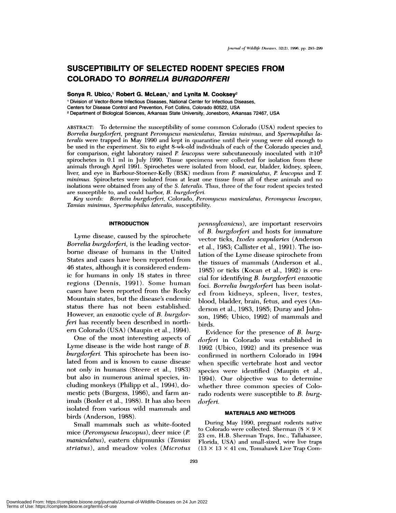# **SUSCEPTIBILITY OF SELECTED RODENT SPECIES FROM COLORADO TO BORRELIA BURGDORFERI**

**Sonya R. Ubico,1** Robert G. **McLean,1 and Lynita M. Cooksey2**

'Division of Vector-Borne Infectious Diseases, National Center for Infectious Diseases, Centers for Disease Control and Prevention, Fort Collins, Colorado 80522, USA **<sup>2</sup>** Department of Biological Sciences, Arkansas State University, Jonesboro, Arkansas 72467, USA

ABSTRACT: To determine the susceptibility of some common Colorado (USA) rodent species to *Borrelia burgdoiferi,* **pregnant** *Perornyscus maniculatus, Tarnias minimus,* and *Spermophilus lateralis* were trapped in May 1990 and kept in quarantine until their young were old enough to be used in the experiment. Six to eight 8-wk-old individuals of each of the Colorado species and, for comparison, eight laboratory raised *P. leucopus* were subcutaneously inoculated with  $\geq 10^5$ spirochetes in 0.1 ml in July 1990. Tissue specimens were collected for isolation from these animals through April 1991. Spirochetes were isolated from blood, ear, bladder, kidney, spleen, liver, and eye in Barbour-Stoener-Kehly (BSK) medium from *P. maniculatus, P leucopus* and *T minimus.* Spirochetes were isolated from at least one tissue from all of these animals and no isolations were obtained from any of the *S. lateralis*. Thus, three of the four rodent species tested are susceptible to, and could harbor, *B. burgdorferi.*

*Key words: Borrelia burgdorferi,* Colorado, *Perornyscus maniculatus, Peromyscus leucopus, Tamias ininimu.s', Spermophilus lateralis,* susceptibility.

#### **INTRODUCTION**

Lyme disease, caused by the spirochete *Borrelia burgdorferi*, is the leading vectorborne disease of humans in the United States and cases have been reported from 46 states, although it is considered endemic for humans in only 18 states in three regions (Dennis, 1991). Some human cases have been reported from the Rocky Mountain states, but the disease's endemic status there has not been established. However, an enzootic cycle of *B. burgdorferi* has recently been described in northern Colorado (USA) (Maupin et al., 1994).

One of the most interesting aspects of Lyme disease is the wide host range of *B. burgdorferi.* This spirochete has been isolated from and is known to cause disease not only in humans (Steere et al., J983) but also in numerous animal species, including monkeys (Philipp et al., 1994), domestic pets (Burgess, 1986), and farm animals (Bosler et al., 1988). It has also been isolated from various wild mammals and birds (Anderson, 1988).

Small mammals such as white-footed mice (Peromyscus leucopus), deer mice *(P. maniculatus),* eastern chipmunks *(Tarnias striatus),* and meadow voles *(Microtus*

*pennsyleanicus),* are important reservoirs of *B. burgdorferi* and hosts for immature vector ticks, *Ixodes scapularies* (Anderson et al., 1983; Callister et a!., 1991). The isolation of the Lyme disease spirochete from the tissues of mammals (Anderson et al., 1985) or ticks (Kocan et al., 1992) is cru cial for identifying *B. burgdotferi* enzootic foci. *Borrelia burgdorferi* has been isolated from kidneys, spleen, liver, testes, blood, bladder, brain, fetus, and eyes (Anderson et al., 1983, 1985; Duray and Johnson, 1986; Ubico, 1992) of mammals and birds.

Evidence for the presence of *B. burg*dorferi in Colorado was established in 1992 (Ubico, 1992) and its presence was confirmed in northern Colorado in 1994 when specific vertebrate host and vector species were identified (Maupin et al., 1994). Our objective was to determine whether three common species of Colorado rodents were susceptible to *B. burgdorferi.*

## **MATERIALS AND METHODS**

During May 1990, pregnant rodents native to Colorado were collected. Sherman (8 X 9 X 23 cm, H.B. Sherman Traps, Inc., Tallahassee, Florida, USA) and small-sized, wire live traps  $(13 \times 13 \times 41$  cm, Tomahawk Live Trap Com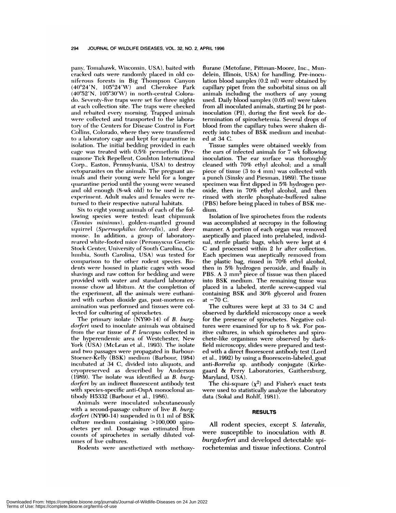pany, Tomahawk, Wisconsin, USA), baited with cracked oats were randomly placed in old coniferous forests in Big Thompson Canyon  $(40°24'N, 105°24'W)$  and Cherokee Park  $(40°52' N, 105°30' W)$  in north-central Colorado. Seventy-five traps were set for three nights at each collection site. The traps were checked and rebaited every morning. Trapped animals were collected and transported to the laboratory of the Centers for Disease Control in Fort Collins, Colorado, where they were transferred to a laboratory cage and kept for quarantine in isolation. The initial bedding provided in each cage was treated with  $0.5\%$  permethrin (Permanone Tick Repellent, Coulston International Corp., Easton, Pennsylvania, USA) to destroy ectoparasites on the animals. The pregnant animals and their young were held for a longer quarantine period until the young were weaned and old enough (8-wk old) to be used in the experiment. Adult males and females were returned to their respective natural habitats.

Six to eight young animals of each of the following species were tested: least chipmunk (Tamias minimus), golden-mantled ground squirrel *(Sperinophilus lateralis),* and deer **mmioumse. In** addition, a group of laboratoryreared white-footed mice (Peromyscus Genetic Stock Center, University of South Carolina, Columbia, South Carolina, USA) was tested for comparison to the other rodent species. Rodents were housed in plastic cages with wood shavings and raw cotton for bedding and were provided with water and standard laboratory mouse chow ad libitum. At the completion of the experiment, all the animals were euthanized with carbon dioxide gas, post-mortem examination was performed and tissues were collected for culturing of spirochetes.

The primary isolate (NY90-14) of *B. burgdorferi* used to inoculate animals was obtained from the ear tissue of *P. leucopus* collected in the hyperendemic area of Westchester, New York (USA) (McLean et al., 1993). The isolate and two passages were propagated in Barbour- Stoener-Kelly (BSK) medium (Barbour, 1984) incubated at 34 C, divided into aliquots, and cryopreserved as described by Anderson (1989). The isolate was identified as *B. burgdorferi* by an indirect fluorescent antibody test with species-specific anti-OspA monoclonal antibody H5332 (Barbour et al., 1986).

Animals were inoculated subcutaneously with a second-passage culture of live *B. burgdorferi* (NY9O-14) suspended in 0.1 ml of BSK culture medium containing  $>100,000$  spirochetes per ml. Dosage was estimated from counts of spirochetes in serially diluted volumes of live cultures.

Rodents were anesthetized with methoxy-

flurane (Metofane, Pittman-Moore, Inc., Mundelein, Illinois, USA) for handling. Pre-inoculation blood samples (0.2 ml) were obtained by capillary pipet from the suborbital sinus on all animals including the mothers of any young used. Daily blood samples (0.05 ml) were taken from all inoculated animals, starting 24 hr postinoculation (P1), during the first week for determination of spirochetemia. Several drops of blood from the capillary tubes were shaken directly into tubes of BSK medium and incubat ed at34 C.

Tissue samples were obtained weekly from the ears of infected animals for 7 wk following inoculation. The ear surface was thoroughly cleaned with 70% ethyl alcohol; and a small piece of tissue  $(3 \text{ to } 4 \text{ mm})$  was collected with a punch (Sinsky and Piesman, 1989). The tissue specimen was first dipped in 5% hydrogen peroxide, then in 70% ethyl alcohol, and then rinsed with sterile phosphate-buffered saline (PBS) before being placed in tubes of BSK medium.

Isolation of live spirochetes from the rodents was accomplished at necropsy in the following manner. A portion of each organ was removed aseptically and placed into prelabeled, individual, sterile plastic bags, which were kept at 4 C and processed within 2 hr after collection. Each specimen was aseptically removed from the plastic bag, rinsed in 70% ethyl alcohol, then in 5% hydrogen peroxide, and finally in PBS. A 3 mm<sup>3</sup> piece of tissue was then placed into BSK medium. The remaining tissue was placed in a labeled, sterile screw-capped vial containing BSK and 30% glycerol and frozen at  $-70$  C.

The cultures were kept at 33 to 34 C and observed by darkfield microscopy once a week for the presence of spirochetes. Negative cultures were examined for up to 8 wk. For positive cultures, in which spirochetes and spirochete-like organisms were observed by darkfield microscopy, slides were prepared and test ed with a direct fluorescent antibody test (Lord et al., 1992) by using a fluorescein-labeled, goat *anti-Borrelia* sp. antibody conjugate (Kirkegaard & Perry Laboratories, Gaithersburg, Maryland, USA).

The chi-square  $(\chi^2)$  and Fisher's exact tests were used to statistically analyze the laboratory data (Sokal and Rohlf, 1981).

#### **RESULTS**

All rodent species, except *S. lateralis*, were susceptible to inoculation with *B. burgdorferi* and developed detectable spirochetemias and tissue infections. Control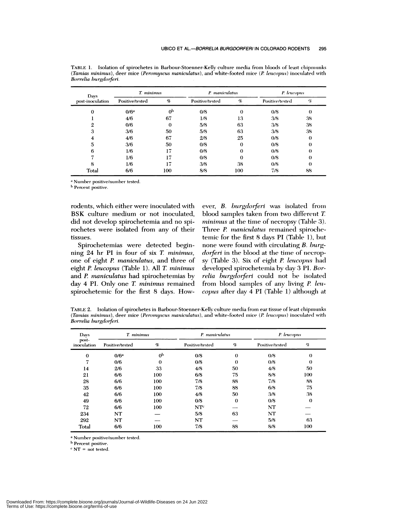| Days<br>post-inoculation | T. minimus       |             | P. maniculatus  |          | P. leucopus     |          |
|--------------------------|------------------|-------------|-----------------|----------|-----------------|----------|
|                          | Positive/tested  | $\sigma$    | Positive/tested | $\sigma$ | Positive/tested | $\%$     |
| 0                        | 0/6 <sup>a</sup> | $_{\rm 0p}$ | 0/8             | 0        | 0/8             | 0        |
|                          | 4/6              | 67          | 1/8             | 13       | 3/8             | 38       |
| 9.                       | 0/6              | $\Omega$    | 5/8             | 63       | 3/8             | 38       |
| 3                        | 3/6              | 50          | 5/8             | 63       | 3/8             | 38       |
| 4                        | 4/6              | 67          | 2/8             | 25       | 0/8             | $\bf{0}$ |
| 5                        | 3/6              | 50          | 0/8             | 0        | 0/8             | $\bf{0}$ |
| 6                        | 1/6              | 17          | 0/8             | 0        | 0/8             | $_{0}$   |
|                          | 1/6              | 17          | 0/8             | 0        | 0/8             | $\theta$ |
| 8                        | 1/6              | Ľï          | 3/8             | 38       | 0/8             | 0        |
| Total                    | 6/6              | 100         | 8/8             | 100      | 7/8             | 88       |

TABLE 1. Isolation of spirochetes in Barbour-Stoenner-Kelly culture media from bloods of least chipmunks *(Tamias minimus),* deer mice *(Peromyscus maniculatus)*, and white-footed mice *(P. leucopus)* inoculated with *Borrelia* burgdorferi.

a Number positive/number tested.

**'** Percent **positive.**

rodents, which either were inoculated with BSK culture medium or not inoculated, did not develop spirochetemia and no spirochetes were isolated from any of their tissues.

Spirochetemias were detected beginning 24 hr P1 in four of six *T minimus,* one of eight *P. maniculatus,* and three of eight *P. leucopus* (Table 1). All *T minimus* and *P. maniculatus* had spirochetemias by day 4 P1. Only one *T minirnus* remained spirochetemic for the first 8 days. However, *B. burgdorferi* was isolated from blood samples taken from two different *T*. *minimus* at the time of necropsy (Table 3). Three *P. maniculatus* remained spirochetemic for the first  $8$  days PI (Table 1), but none were found with circulating *B. burgdorferi* in the blood at the time of necropsy (Table 3). Six of eight *P. leucopus* had developed spirochetemia by day 3 P1.*Borrelia burgdorferi* could not be isolated from blood samples of any living *P lencopus* after day 4 P1 (Table 1) although at

TABLE 2. Isolation of spirochetes in Barbour-Stoenner-Kelly culture media from ear tissue of least chipmunks **(** *Ta7nia.s ininimus),* deer mice *(Peromyscus maniculatus),* and white-footed mice *(P leucopus)* inoculated witlm *Borrelia hurgdorferi.*

| Days                 | T. minimus       |                |                 | P. maniculatus |                 | P. leucopus |  |
|----------------------|------------------|----------------|-----------------|----------------|-----------------|-------------|--|
| post-<br>inoculation | Positive/tested  | $\sigma$       | Positive/tested | $\%$           | Positive/tested | ¥.          |  |
| $\bf{0}$             | 0/6 <sup>a</sup> | 0 <sub>p</sub> | 0/8             | $\theta$       | 0/8             | $\bf{0}$    |  |
| 7                    | 0/6              | $\bf{0}$       | 0/8             | $\theta$       | 0/8             | $\Omega$    |  |
| 14                   | 2/6              | 33             | 4/8             | 50             | 4/8             | 50          |  |
| 21                   | 6/6              | 100            | 6/8             | 75             | 8/8             | 100         |  |
| 28                   | 6/6              | 100            | 7/8             | 88             | 7/8             | 88          |  |
| 35                   | 6/6              | 100            | 7/8             | 88             | 6/8             | 75          |  |
| 42                   | 6/6              | 100            | 4/8             | 50             | 3/8             | 38          |  |
| 49                   | 6/6              | 100            | 0/8             | $\theta$       | 0/8             | $\theta$    |  |
| 72                   | 6/6              | 100            | NTc             |                | NT              |             |  |
| 234                  | NT               |                | 5/8             | 63             | NT              |             |  |
| 292                  | NT               |                | NT              |                | 5/8             | 63          |  |
| Total                | 6/6              | 100            | 7/8             | 88             | 8/8             | 100         |  |

<sup>a</sup> Number positive/number tested.

b Percent positive.

NT **<sup>=</sup>** not **tested.**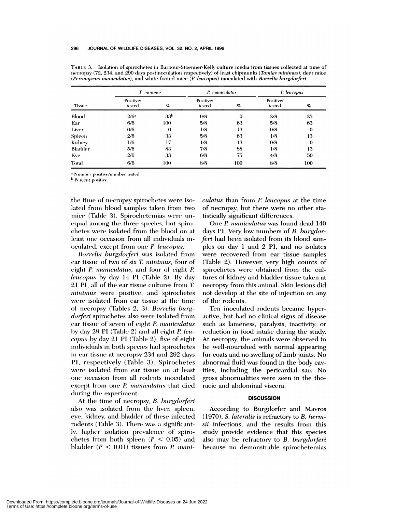| <b>Tissue</b>  | T. minimus          |                 | P. maniculatus      |          | P. leucopus         |                 |
|----------------|---------------------|-----------------|---------------------|----------|---------------------|-----------------|
|                | Positive/<br>tested | Y.              | Positive/<br>tested | %        | Positive/<br>tested | $\mathcal{G}_0$ |
| Blood          | 2/6 <sup>a</sup>    | 33 <sup>b</sup> | 0/8                 | $\Omega$ | 2/8                 | 25              |
| Ear            | 6/6                 | 100             | 5/8                 | 63       | 5/8                 | 63              |
| Liver          | 0/6                 | $\theta$        | 1/8                 | 13       | 0/8                 | $\bf{0}$        |
| Spleen         | 2/6                 | 33              | 5/8                 | 63       | 1/8                 | 13              |
| Kidney         | 1/6                 | 17              | 1/8                 | 13       | 0/8                 | $\bf{0}$        |
| <b>Bladder</b> | 5/6                 | 83              | 7/8                 | 88       | 1/8                 | 13              |
| Eye            | 2/6                 | 33              | 6/8                 | 75       | 4/8                 | 50              |
| Total          | 6/6                 | 100             | 8/8                 | 100      | 8/8                 | 100             |

TABLE 3. Isolation of spirochetes in Barbour-Stoenner-Kelly culture media from tissues collected at time of necropsy (72, 234, and 290 days postinoculation respectively) of least chipmunks (Tamias minimus), deer mice (Peromyscus maniculatus), and white-footed mice (P. leucopus) inoculated with Borrelia burgdorferi.

<sup>a</sup> Number positive/number tested.

<sup>b</sup> Percent positive.

the time of necropsy spirochetes were isolated from blood samples taken from two mice (Table 3). Spirochetemias were unequal among the three species, but spirochetes were isolated from the blood on at least one occasion from all individuals inoculated, except from one *P. leucopus*.

Borrelia burgdorferi was isolated from ear tissue of two of six T. minimus, four of eight P. maniculatus, and four of eight P. leucopus by day 14 PI (Table 2). By day 21 PI, all of the ear tissue cultures from T. minimus were positive, and spirochetes were isolated from ear tissue at the time of necropsy (Tables 2, 3). Borrelia burg*dorferi* spirochetes also were isolated from ear tissue of seven of eight P. maniculatus by day 28 PI (Table 2) and all eight P. leucopus by day 21 PI (Table 2); five of eight individuals in both species had spirochetes in ear tissue at necropsy 234 and 292 days PI, respectively (Table 3). Spirochetes were isolated from ear tissue on at least one occasion from all rodents inoculated except from one P. maniculatus that died during the experiment.

At the time of necropsy, B. burgdorferi also was isolated from the liver, spleen, eye, kidney, and bladder of these infected rodents (Table 3). There was a significantly, higher isolation prevalence of spirochetes from both spleen ( $P \leq 0.05$ ) and bladder ( $P < 0.01$ ) tissues from *P. mani-* culatus than from P. leucopus at the time of necropsy, but there were no other statistically significant differences.

One P. maniculatus was found dead 140 days PI. Very low numbers of B. burgdorferi had been isolated from its blood samples on day 1 and 2 PI, and no isolates were recovered from ear tissue samples (Table 2). However, very high counts of spirochetes were obtained from the cultures of kidney and bladder tissue taken at necropsy from this animal. Skin lesions did not develop at the site of injection on any of the rodents.

Ten inoculated rodents became hyperactive, but had no clinical signs of disease such as lameness, paralysis, inactivity, or reduction in food intake during the study. At necropsy, the animals were observed to be well-nourished with normal appearing fur coats and no swelling of limb joints. No abnormal fluid was found in the body cavities, including the pericardial sac. No gross abnormalities were seen in the thoracic and abdominal viscera.

#### **DISCUSSION**

According to Burgdorfer and Mavros (1970), S. lateralis is refractory to B. hermsii infections, and the results from this study provide evidence that this species also may be refractory to B. burgdorferi because no demonstrable spirochetemias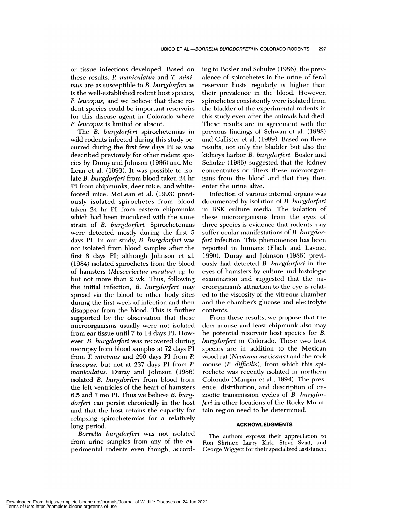or tissue infections developed. Based on these results, *P maniculatus* and *T mini mus* are as susceptible to *B. burgdorferi* as is the well-established rodent host species, *P. leucopus,* and we believe that these rodent species could be important reservoirs for this disease agent in Colorado where *P. leucopus* is limited or absent.

The *B. burgdorferi* spirochetemias in wild rodents infected during this study oc curred during the first few days P1 as was described previously for other rodent species by Duray and Johnson (1986) and Mc-Lean et al. (1993). It was possible to isolate *B. burgdorferi* from blood taken 24 hr **P1 from chipmunks, deer mice, and** whitefooted mice. McLean et al. (1993) previously isolated spirochetes from blood taken 24 hr P1 from eastern chipmunks which had been inoculated with the same strain of *B. burgdorferi*. Spirochetemias were detected mostly during the first 5 days **P1. In our study,** *B. burgdorferi* was not isolated from blood samples after the first 8 days PI; although Johnson et al. (1984) isolated spirochetes from the blood of hamsters *(Mesocricetus anratus)* up to but not more than 2 wk. Thus, following the initial infection, *B. burgdorferi* may spread via the blood to other body sites during the first week of infection and then disappear from the blood. This is further supported by the observation that these microorganisms usually were not isolated from ear tissue until 7 to 14 days P1. How ever, *B. burgdorferi* was recovered during necropsy from blood samples at 72 days P1 from *T minimus* and 290 days P1 from *P. leucopus,* but not at 237 days P1 from *P. maniculatus.* Duray and Johnson (1986) isolated *B. burgdorferi* from blood from the left ventricles of the heart of hamsters 6.5 and 7 mo P1. Thus we believe *B. burgdorferi* can persist chronically in the host and that the host retains the capacity for relapsing spirochetemias for a relatively long period.

*Borrelia burgdorferi* was not isolated from urine samples from any of the experimental rodents even though, according to Bosler and Schulze (1986), the prevalence of spirochetes in the urine of feral reservoir hosts regularly is higher than their prevalence in the blood. However, spirochetes consistently were isolated from the bladder of the experimental rodents in this study even after the animals had died. These results are in agreement with the previous findings of Schwan et al. (1988) and Callister et al. (1989). Based on these results, not only the bladder but also the kidneys harbor *B. bnrgdorferi.* Bosler and Schulze (1986) suggested that the kidney concentrates or filters these microorganisms from the blood and that they then enter the urine alive.

Infection of various internal organs was documented by isolation of *B. burgdorferi* in BSK culture media. The isolation of these microorganisms from the eyes of three species is evidence that rodents may suffer ocular manifestations of *B. burgdorferi* infection. This phenomenon has been reported in humans (Flach and Lavoie, 1990). Duray and Johnson (1986) previously had detected *B. burgdorferi* in the eyes of hamsters by culture and histologic examination and suggested that the microorganism's attraction to the eye is related to the viscosity of the vitreous chamber and the chamber's glucose and electrolyte contents.

From these results, we propose that the deer mouse and least chipmunk also may be potential reservoir host species for *B*. *burgdorferi* in Colorado. These two host species are in addition to the Mexican wood rat *(Neotoma mexicana)* and the rock mouse (*P. difficilis*), from which this spirochete was recently isolated in northern Colorado (Maupin et al., 1994). The presence, distribution, and description of en zootic transmission cycles of *B. burgdorferi* in other locations of the Rocky Mountain region need to be determined.

### **ACKNOWLEDGMENTS**

The authors express their appreciation to Ron Shriner, Larry Kirk, Steve Sviat, and George Wiggett for their specialized assistance;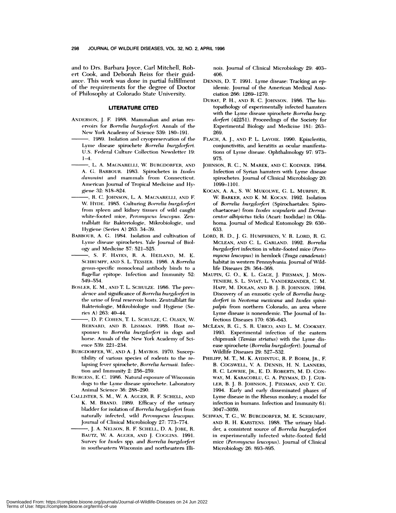and to Drs. Barbara Joyce, Carl Mitchell, Robert Cook, and Deborah Reiss for their guidance. This work was done in partial fulfillment of the requirements for the degree of Doctor of Philosophy at Colorado State University.

#### **LITERATURE CITED**

- ANDERSON, J. F. 1988. Mammalian and avian reservoirs for Borrelia burgdorferi. Annals of the New York Academy of Science 539: 180-191.
- -. 1989. Isolation and cryopreservation of the Lyme disease spirochete Borrelia burgdorferi. U.S. Federal Culture Collection Newsletter 19:  $1-4.$
- ., L. A. MAGNARELLI, W. BURGDORFER, AND A. G. BARBOUR. 1983. Spirochetes in Ixodes dammini and mammals from Connecticut. American Journal of Tropical Medicine and Hygiene 32: 818-824.
- -, R. C. JOHNSON, L. A. MAGNARELLI, AND F. W. HYDE. 1985. Culturing Borrelia burgdorferi from spleen and kidney tissues of wild caught white-footed mice, Peromyscus leucopus. Zentralblatt für Bakteriologie, Mikrobiologie, und Hygiene (Series A) 263: 34-39.
- BARBOUR, A. G. 1984. Isolation and cultivation of Lyme disease spirochetes. Yale Journal of Biology and Medicine 57: 521-525.
- -, S. F. HAYES, R. A. HEILAND, M. E. SCHRUMPF, AND S. L. TESSIER. 1986. A Borrelia genus-specific monoclonal antibody binds to a flagellar epitope. Infection and Immunity 52: 549-554.
- BOSLER, E. M., AND T. L. SCHULZE. 1986. The prevalence and significance of Borrelia burgdorferi in the urine of feral reservoir hosts. Zentralblatt für Bakteriologie, Mikrobiologie und Hygiene (Series A) 263: 40-44.
- -, D. P. COHEN, T. L. SCHULZE, C. OLSEN, W. BERNARD, AND B. LISSMAN. 1988. Host responses to Borrelia burgdorferi in dogs and horse. Annals of the New York Academy of Science 539: 221-234.
- BURGDORFER, W., AND A. J. MAVROS. 1970. Susceptibility of various species of rodents to the relapsing fever spirochete, Borrelia hermsii. Infection and Immunity 2: 256-259.
- BURGESS, E. C. 1986. Natural exposure of Wisconsin dogs to the Lyme disease spirochete. Laboratory Animal Science 36: 288-290.
- CALLISTER, S. M., W. A. AGGER, R. F. SCHELL, AND K. M. BRAND. 1989. Efficacy of the urinary bladder for isolation of Borrelia burgdorferi from naturally infected, wild Peromyscus leucopus. Journal of Clinical Microbiology 27: 773-774.
- ., J. A. Nelson, R. F. Schell, D. A. Jobe, R. BAUTZ, W. A. AGGER, AND J. COGGINS. 1991. Survey for Ixodes spp. and Borrelia burgdorferi in southeastern Wisconsin and northeastern Illi-

nois. Journal of Clinical Microbiology 29: 403-406.

- DENNIS, D. T. 1991. Lyme disease: Tracking an epidemic. Journal of the American Medical Association 266: 1269-1270.
- DURAY, P. H., AND R. C. JOHNSON. 1986. The histopathology of experimentally infected hamsters with the Lyme disease spirochete Borrelia burgdorferi (42251). Proceedings of the Society for Experimental Biology and Medicine 181: 263-269
- FLACH, A. J., AND P. L. LAVOIE. 1990. Episcleritis, conjunctivitis, and keratitis as ocular manifestations of Lyme disease. Ophthalmology 97: 973-975.
- JOHNSON, R. C., N. MAREK, AND C. KODNER. 1984. Infection of Syrian hamsters with Lyme disease spirochetes. Journal of Clinical Microbiology 20: 1099-1101.
- KOCAN, A. A., S. W. MUKOLWE, G. L. MURPHY, R. W. BARKER, AND K. M. KOCAN. 1992. Isolation of Borrelia burgdorferi (Spirochaetales: Spirochaetaceae) from Ixodes scapularis and Dermacentor albipictus ticks (Acari: Ixodidae) in Oklahoma. Journal of Medical Entomology 29: 630-633.
- LORD, R. D., J. G. HUMPHREYS, V. R. LORD, R. G. MCLEAN, AND C. L. GARLAND. 1992. Borrelia burgdorferi infection in white-footed mice (Peromyscus leucopus) in hemlock (Tsuga canadensis) habitat in western Pennsylvania. Journal of Wildlife Diseases 28: 364-368.
- MAUPIN, G. O., K. L. GAGE, J. PIESMAN, J. MON-TENIERI, S. L. SVIAT, L. VANDERZANDER, C. M. HAPP, M. DOLAN, AND B. J. B. JOHNSON. 1994. Discovery of an enzootic cycle of Borrelia burgdorferi in Neotoma mexicana and Ixodes spinipalpis from northern Colorado, an area where Lyme disease is nonendemic. The Journal of Infectious Diseases 170: 636-643.
- MCLEAN, R. G., S. R. UBICO, AND L. M. COOKSEY. 1993. Experimental infection of the eastern chipmunk (Tamias striatus) with the Lyme disease spirochete (Borrelia burgdorferi). Journal of Wildlife Diseases 29: 527-532.
- PHILIPP, M. T., M. K. AYDINTUG, R. P. BOHM, JR., F. B. COGSWELL, V. A. DENNIS, H. N. LANNERS, R. C. LOWRIE, JR., E. D. ROBERTS, M. D. CON-WAY, M. KARACORLU, G. A. PEYMAN, D. J. GUB-LER, B. J. B. JOHNSON, J. PIESMAN, AND Y. GU. 1994. Early and early disseminated phases of Lyme disease in the Rhesus monkey; a model for infection in humans. Infection and Immunity 61: 3047-3059
- SCHWAN, T. G., W. BURGDORFER, M. E. SCHRUMPF, AND R. H. KARSTENS. 1988. The urinary bladder, a consistent source of Borrelia burgdorferi in experimentally infected white-footed field mice (Peromyscus leucopus). Journal of Clinical Microbiology 26: 893-895.